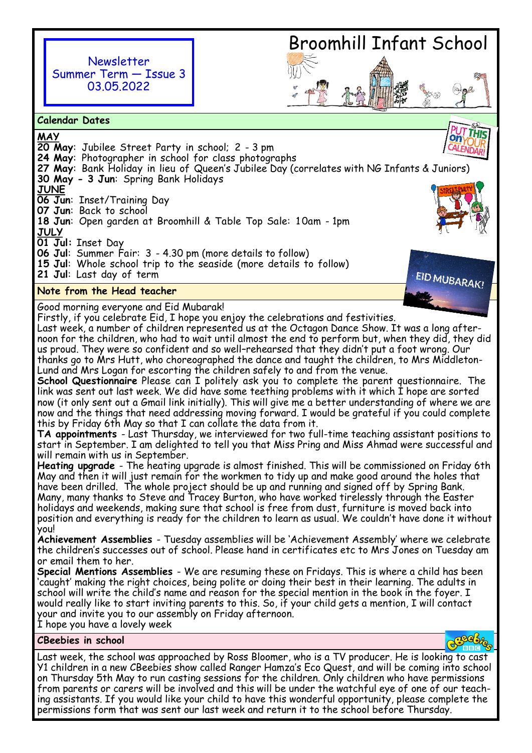

# Broomhill Infant School

**Calendar Dates**

**MAY** on **20 May**: Jubilee Street Party in school; 2 - 3 pm 24 May: Photographer in school for class photographs **27 May**: Bank Holiday in lieu of Queen's Jubilee Day (correlates with NG Infants & J[uniors\)](https://www.google.co.uk/url?sa=i&rct=j&q=&esrc=s&source=images&cd=&cad=rja&uact=8&ved=&url=https%3A%2F%2Fwww.bataviamusicbuffs.org%2Ftwo-fundraising-events-coming-july-23rd-july-24th%2F&psig=AFQjCNEqhA44nQmLt65KARWBS7mj3OcjpQ&ust=1445431454774113)  **30 May - 3 Jun**: Spring Bank Holidays **JUNE 06 Jun**: Inset/Training Day **07 Jun**: Back to school **18 Jun**: Open garden at Broomhill & Table Top Sale: 1 0am - 1pm **JULY 01 Jul:** Inset Day **06 Jul**: Summer Fair: 3 - 4.30 pm (more details to follow) **15 Jul**: Whole school trip to the seaside (more details to follow) **21 Jul**: Last day of term EID MUBARAK!

## **Note from the Head teacher**

Good morning everyone and Eid Mubarak!

Firstly, if you celebrate Eid, I hope you enjoy the celebrations and festivities.

Last week, a number of children represented us at the Octagon Dance Show. It was a long afternoon for the children, who had to wait until almost the end to perform but, when they did, they did us proud. They were so confident and so well–rehearsed that they didn't put a foot wrong. Our thanks go to Mrs Hutt, who choreographed the dance and taught the children, to Mrs Middleton-Lund and Mrs Logan for escorting the children safely to and from the venue.

**School Questionnaire** Please can I politely ask you to complete the parent questionnaire. The link was sent out last week. We did have some teething problems with it which I hope are sorted now (it only sent out a Gmail link initially). This will give me a better understanding of where we are now and the things that need addressing moving forward. I would be grateful if you could complete this by Friday 6th May so that I can collate the data from it.

**TA appointments** - Last Thursday, we interviewed for two full-time teaching assistant positions to start in September. I am delighted to tell you that Miss Pring and Miss Ahmad were successful and will remain with us in September.

**Heating upgrade** - The heating upgrade is almost finished. This will be commissioned on Friday 6th May and then it will just remain for the workmen to tidy up and make good around the holes that have been drilled. The whole project should be up and running and signed off by Spring Bank. Many, many thanks to Steve and Tracey Burton, who have worked tirelessly through the Easter holidays and weekends, making sure that school is free from dust, furniture is moved back into position and everything is ready for the children to learn as usual. We couldn't have done it without you!

**Achievement Assemblies** - Tuesday assemblies will be 'Achievement Assembly' where we celebrate the children's successes out of school. Please hand in certificates etc to Mrs Jones on Tuesday am or email them to her.

**Special Mentions Assemblies** - We are resuming these on Fridays. This is where a child has been 'caught' making the right choices, being polite or doing their best in their learning. The adults in school will write the child's name and reason for the special mention in the book in the foyer. I would really like to start inviting parents to this. So, if your child gets a mention, I will contact your and invite you to our assembly on Friday afternoon.

I hope you have a lovely week

**CBeebies in school** 

Last week, the school was approached by Ross Bloomer, who is a TV producer. He is looking to cast Y1 children in a new CBeebies show called Ranger Hamza's Eco Quest, and will be coming into school on Thursday 5th May to run casting sessions for the children. Only children who have permissions from parents or carers will be involved and this will be under the watchful eye of one of our teaching assistants. If you would like your child to have this wonderful opportunity, please complete the permissions form that was sent our last week and return it to the school before Thursday.